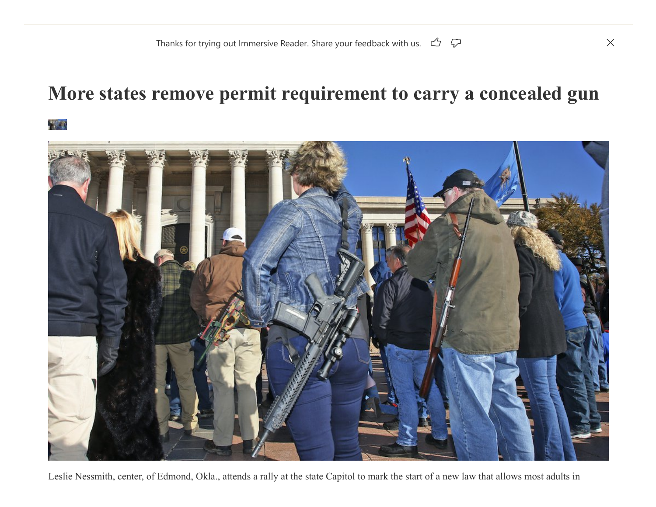## **More states remove permit requirement to carry a concealed gun**





Leslie Nessmith, center, of Edmond, Okla., attends a rally at the state Capitol to mark the start of a new law that allows most adults in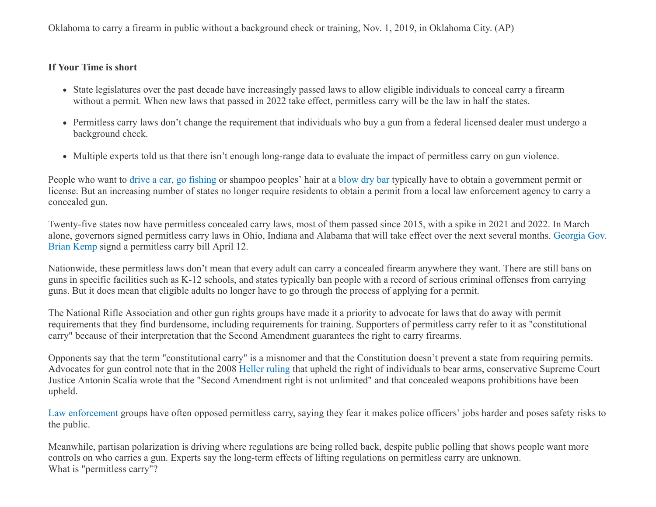Oklahoma to carry a firearm in public without a background check or training, Nov. 1, 2019, in Oklahoma City. (AP)

## **If Your Time is short**

- State legislatures over the past decade have increasingly passed laws to allow eligible individuals to conceal carry a firearm without a permit. When new laws that passed in 2022 take effect, permitless carry will be the law in half the states.
- Permitless carry laws don't change the requirement that individuals who buy a gun from a federal licensed dealer must undergo a background check.
- Multiple experts told us that there isn't enough long-range data to evaluate the impact of permitless carry on gun violence.

People who want to [drive a car,](https://worldpopulationreview.com/state-rankings/driving-age-by-state) [go fishing](https://www.findlaw.com/state/state-fish-and-game-laws/fishing-laws-by-state-findlaw.html) or shampoo peoples' hair at a [blow dry bar](https://goldwaterinstitute.org/2019-03-19-tangled-blow-drying-a-crime/) typically have to obtain a government permit or license. But an increasing number of states no longer require residents to obtain a permit from a local law enforcement agency to carry a concealed gun.

Twenty-five states now have permitless concealed carry laws, most of them passed since 2015, with a spike in 2021 and 2022. In March [alone, governors signed permitless carry laws in Ohio, Indiana and Alabama that will take effect over the next several months. Georgia Gov.](https://www.ajc.com/politics/gov-kemp-to-sign-bill-allowing-concealed-carry-of-handguns-without-a-license/KO7EQUS3IVGWNDISVAKBGOMZOA/) Brian Kemp signd a permitless carry bill April 12.

Nationwide, these permitless laws don't mean that every adult can carry a concealed firearm anywhere they want. There are still bans on guns in specific facilities such as K-12 schools, and states typically ban people with a record of serious criminal offenses from carrying guns. But it does mean that eligible adults no longer have to go through the process of applying for a permit.

The National Rifle Association and other gun rights groups have made it a priority to advocate for laws that do away with permit requirements that they find burdensome, including requirements for training. Supporters of permitless carry refer to it as "constitutional carry" because of their interpretation that the Second Amendment guarantees the right to carry firearms.

Opponents say that the term "constitutional carry" is a misnomer and that the Constitution doesn't prevent a state from requiring permits. Advocates for gun control note that in the 2008 [Heller ruling](https://www.supremecourt.gov/opinions/07pdf/07-290.pdf) that upheld the right of individuals to bear arms, conservative Supreme Court Justice Antonin Scalia wrote that the "Second Amendment right is not unlimited" and that concealed weapons prohibitions have been upheld.

[Law](https://www.kxan.com/news/texas-politics/texas-police-associations-against-permitless-gun-carrying-speak-at-texas-capitol-on-tuesday/) [enforcement](https://www.theadvocate.com/baton_rouge/news/politics/legislature/article_ce00babe-e008-11eb-9af1-67183c9cb130.html) groups have often opposed permitless carry, saying they fear it makes police officers' jobs harder and poses safety risks to the public.

Meanwhile, partisan polarization is driving where regulations are being rolled back, despite public polling that shows people want more controls on who carries a gun. Experts say the long-term effects of lifting regulations on permitless carry are unknown. What is "permitless carry"?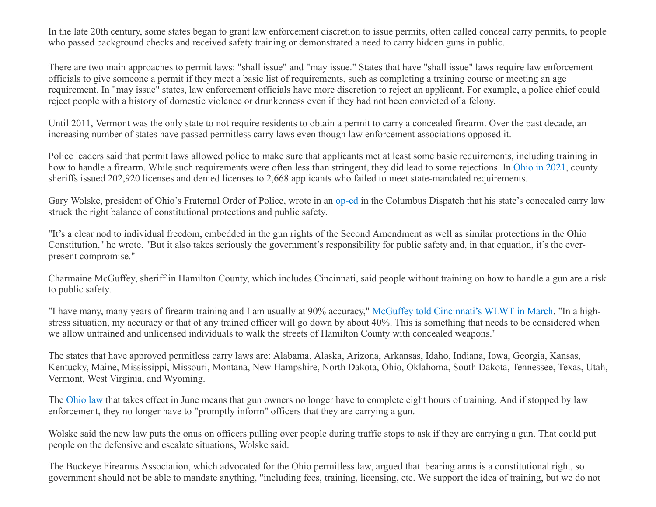In the late 20th century, some states began to grant law enforcement discretion to issue permits, often called conceal carry permits, to people who passed background checks and received safety training or demonstrated a need to carry hidden guns in public.

There are two main approaches to permit laws: "shall issue" and "may issue." States that have "shall issue" laws require law enforcement officials to give someone a permit if they meet a basic list of requirements, such as completing a training course or meeting an age requirement. In "may issue" states, law enforcement officials have more discretion to reject an applicant. For example, a police chief could reject people with a history of domestic violence or drunkenness even if they had not been convicted of a felony.

Until 2011, Vermont was the only state to not require residents to obtain a permit to carry a concealed firearm. Over the past decade, an increasing number of states have passed permitless carry laws even though law enforcement associations opposed it.

Police leaders said that permit laws allowed police to make sure that applicants met at least some basic requirements, including training in how to handle a firearm. While such requirements were often less than stringent, they did lead to some rejections. In [Ohio in 2021](https://www.ohioattorneygeneral.gov/Files/Reports/Concealed-Carry-Annual-Reports-(PDF)/2021-CCW-Annual-Report), county sheriffs issued 202,920 licenses and denied licenses to 2,668 applicants who failed to meet state-mandated requirements.

Gary Wolske, president of Ohio's Fraternal Order of Police, wrote in an [op-ed](https://www.dispatch.com/story/opinion/columns/guest/2021/12/22/what-does-fraternal-order-police-ohio-say-constitutional-carry/8986889002/) in the Columbus Dispatch that his state's concealed carry law struck the right balance of constitutional protections and public safety.

"It's a clear nod to individual freedom, embedded in the gun rights of the Second Amendment as well as similar protections in the Ohio Constitution," he wrote. "But it also takes seriously the government's responsibility for public safety and, in that equation, it's the everpresent compromise."

Charmaine McGuffey, sheriff in Hamilton County, which includes Cincinnati, said people without training on how to handle a gun are a risk to public safety.

"I have many, many years of firearm training and I am usually at 90% accuracy," [McGuffey told Cincinnati's WLWT in March.](https://www.wlwt.com/article/sheriff-mcguffey-says-signing-of-concealed-carry-bill-not-well-thought-out-for-high-population-areas/39438512#) "In a highstress situation, my accuracy or that of any trained officer will go down by about 40%. This is something that needs to be considered when we allow untrained and unlicensed individuals to walk the streets of Hamilton County with concealed weapons."

The states that have approved permitless carry laws are: Alabama, Alaska, Arizona, Arkansas, Idaho, Indiana, Iowa, Georgia, Kansas, Kentucky, Maine, Mississippi, Missouri, Montana, New Hampshire, North Dakota, Ohio, Oklahoma, South Dakota, Tennessee, Texas, Utah, Vermont, West Virginia, and Wyoming.

The [Ohio law](https://search-prod.lis.state.oh.us/solarapi/v1/general_assembly_134/bills/sb215/EN/05/sb215_05_EN?format=pdf) that takes effect in June means that gun owners no longer have to complete eight hours of training. And if stopped by law enforcement, they no longer have to "promptly inform" officers that they are carrying a gun.

Wolske said the new law puts the onus on officers pulling over people during traffic stops to ask if they are carrying a gun. That could put people on the defensive and escalate situations, Wolske said.

The Buckeye Firearms Association, which advocated for the Ohio permitless law, argued that bearing arms is a constitutional right, so government should not be able to mandate anything, "including fees, training, licensing, etc. We support the idea of training, but we do not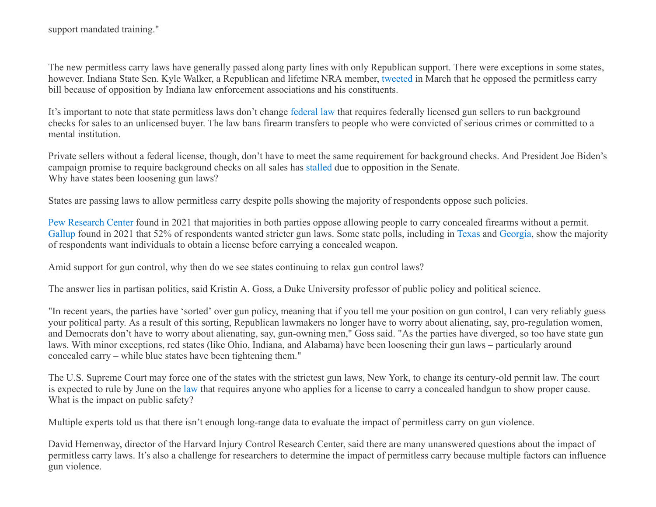The new permitless carry laws have generally passed along party lines with only Republican support. There were exceptions in some states, however. Indiana State Sen. Kyle Walker, a Republican and lifetime NRA member, [tweeted](https://twitter.com/KyleCWalker/status/1501377688308797447?ref_src=twsrc%5Etfw%7Ctwcamp%5Etweetembed%7Ctwterm%5E1501377688308797447%7Ctwgr%5E%7Ctwcon%5Es1_&ref_url=https%3A%2F%2Fabcnews.go.com%2FUS%2Fpermitless-gun-carry-laws-draw-opposition-law-enforcement%2Fstory%3Fid%3D83346946) in March that he opposed the permitless carry bill because of opposition by Indiana law enforcement associations and his constituents.

It's important to note that state permitless laws don't change [federal law](https://www.politifact.com/truth-o-meter/statements/2018/feb/22/viral-image/fact-checking-meme-id-requirements-buying-guns-vot/) that requires federally licensed gun sellers to run background checks for sales to an unlicensed buyer. The law bans firearm transfers to people who were convicted of serious crimes or committed to a mental institution.

Private sellers without a federal license, though, don't have to meet the same requirement for background checks. And President Joe Biden's campaign promise to require background checks on all sales has [stalled](https://www.politifact.com/truth-o-meter/promises/biden-promise-tracker/promise/1536/require-background-checks-all-gun-sales/) due to opposition in the Senate. Why have states been loosening gun laws?

States are passing laws to allow permitless carry despite polls showing the majority of respondents oppose such policies.

[Pew Research Center](https://www.pewresearch.org/fact-tank/2021/09/13/key-facts-about-americans-and-guns/) found in 2021 that majorities in both parties oppose allowing people to carry concealed firearms without a permit. [Gallup](https://news.gallup.com/poll/1645/guns.aspx) found in 2021 that 52% of respondents wanted stricter gun laws. Some state polls, including in [Texas](https://www.texastribune.org/2021/05/03/texas-voters-legislature-poll/) and [Georgia,](https://www.ajc.com/politics/ajc-poll-georgians-oppose-permit-less-gun-carry-repeal-of-roe-v-wade/AWT3EBPIY5GYLINCHDRERGIKSQ/) show the majority of respondents want individuals to obtain a license before carrying a concealed weapon.

Amid support for gun control, why then do we see states continuing to relax gun control laws?

The answer lies in partisan politics, said Kristin A. Goss, a Duke University professor of public policy and political science.

"In recent years, the parties have 'sorted' over gun policy, meaning that if you tell me your position on gun control, I can very reliably guess your political party. As a result of this sorting, Republican lawmakers no longer have to worry about alienating, say, pro-regulation women, and Democrats don't have to worry about alienating, say, gun-owning men," Goss said. "As the parties have diverged, so too have state gun laws. With minor exceptions, red states (like Ohio, Indiana, and Alabama) have been loosening their gun laws – particularly around concealed carry – while blue states have been tightening them."

The U.S. Supreme Court may force one of the states with the strictest gun laws, New York, to change its century-old permit law. The court is expected to rule by June on the [law](https://www.nysenate.gov/legislation/laws/PEN/400.00) that requires anyone who applies for a license to carry a concealed handgun to show proper cause. What is the impact on public safety?

Multiple experts told us that there isn't enough long-range data to evaluate the impact of permitless carry on gun violence.

David Hemenway, director of the Harvard Injury Control Research Center, said there are many unanswered questions about the impact of permitless carry laws. It's also a challenge for researchers to determine the impact of permitless carry because multiple factors can influence gun violence.